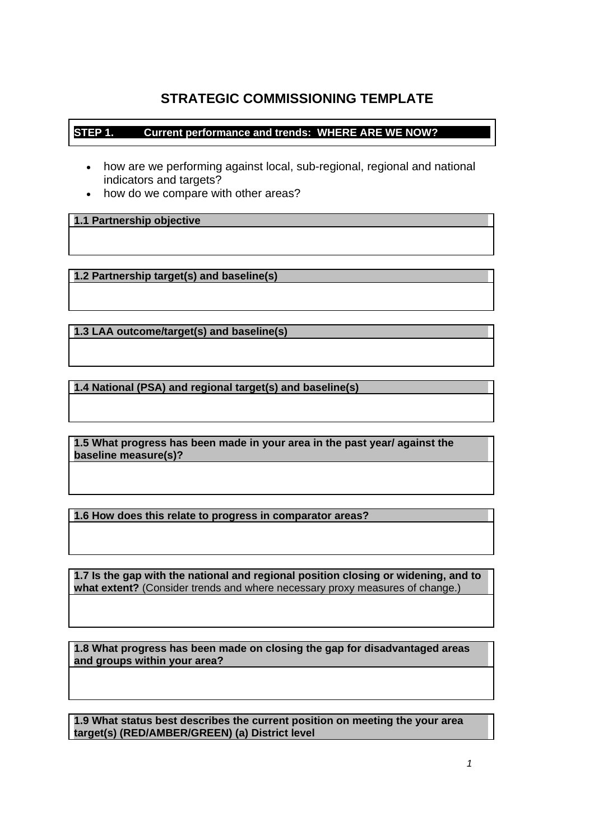# **STRATEGIC COMMISSIONING TEMPLATE**

## **STEP 1. Current performance and trends: WHERE ARE WE NOW?**

- how are we performing against local, sub-regional, regional and national indicators and targets?
- how do we compare with other areas?

**1.1 Partnership objective** 

 **1.2 Partnership target(s) and baseline(s)** 

**1.3 LAA outcome/target(s) and baseline(s)** 

**1.4 National (PSA) and regional target(s) and baseline(s)** 

 **1.5 What progress has been made in your area in the past year/ against the baseline measure(s)?** 

**1.6 How does this relate to progress in comparator areas?** 

 **what extent?** (Consider trends and where necessary proxy measures of change.) **1.7 Is the gap with the national and regional position closing or widening, and to** 

**1.8 What progress has been made on closing the gap for disadvantaged areas and groups within your area?** 

 **1.9 What status best describes the current position on meeting the your area target(s) (RED/AMBER/GREEN) (a) District level**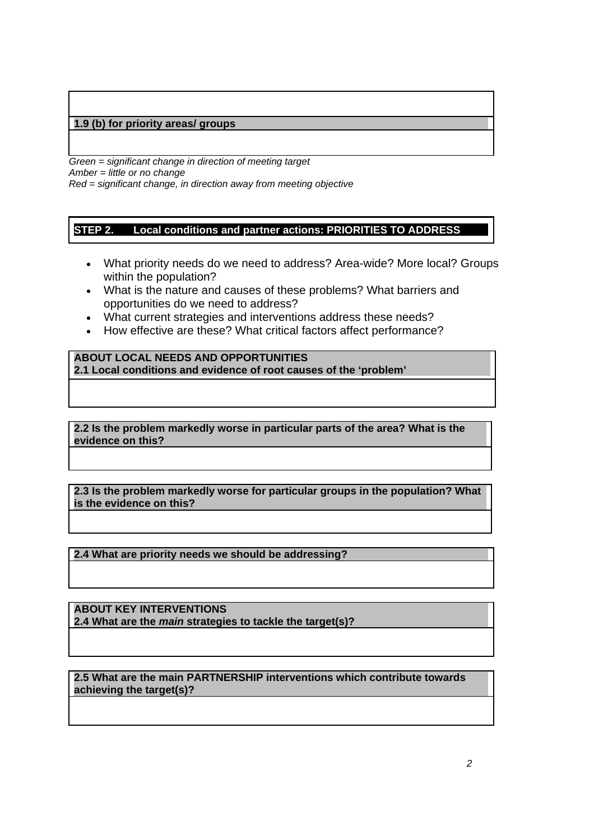## **1.9 (b) for priority areas/ groups**

 *Red = significant change, in direction away from meeting objective Green = significant change in direction of meeting target Amber = little or no change* 

#### **STEP 2.** Local conditions and partner actions: PRIORITIES TO ADDRESS

- What priority needs do we need to address? Area-wide? More local? Groups within the population?
- What is the nature and causes of these problems? What barriers and opportunities do we need to address?
- What current strategies and interventions address these needs?
- How effective are these? What critical factors affect performance?

**ABOUT LOCAL NEEDS AND OPPORTUNITIES 2.1 Local conditions and evidence of root causes of the 'problem'** 

 **2.2 Is the problem markedly worse in particular parts of the area? What is the evidence on this?** 

**2.3 Is the problem markedly worse for particular groups in the population? What is the evidence on this?** 

**2.4 What are priority needs we should be addressing?** 

**ABOUT KEY INTERVENTIONS 2.4 What are the** *main* **strategies to tackle the target(s)?** 

 **2.5 What are the main PARTNERSHIP interventions which contribute towards achieving the target(s)?**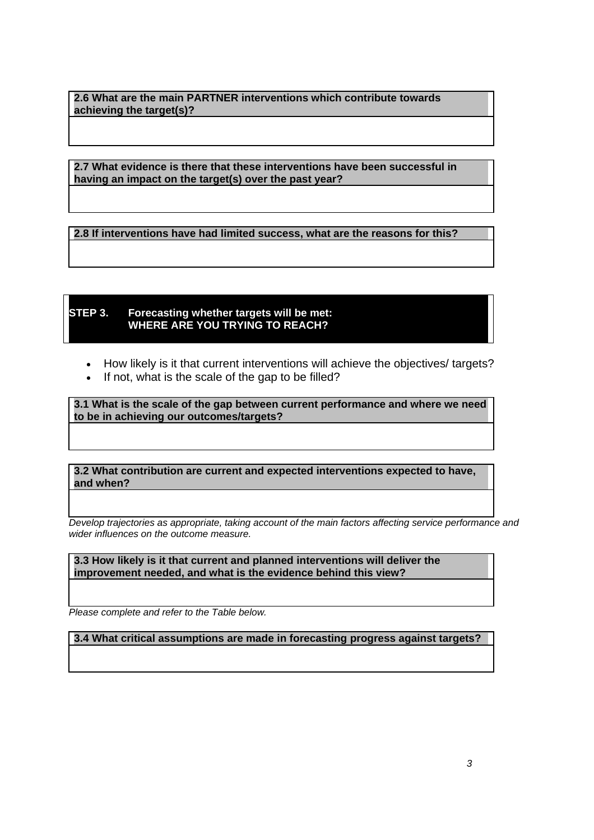**2.6 What are the main PARTNER interventions which contribute towards achieving the target(s)?** 

 **2.7 What evidence is there that these interventions have been successful in having an impact on the target(s) over the past year?** 

 **2.8 If interventions have had limited success, what are the reasons for this?** 

### **STEP 3. Forecasting whether targets will be met: WHERE ARE YOU TRYING TO REACH?**

- How likely is it that current interventions will achieve the objectives/ targets?
- If not, what is the scale of the gap to be filled?

 **3.1 What is the scale of the gap between current performance and where we need to be in achieving our outcomes/targets?** 

**3.2 What contribution are current and expected interventions expected to have, and when?** 

*Develop trajectories as appropriate, taking account of the main factors affecting service performance and wider influences on the outcome measure.* 

**3.3 How likely is it that current and planned interventions will deliver the improvement needed, and what is the evidence behind this view?** 

 *Please complete and refer to the Table below.* 

**3.4 What critical assumptions are made in forecasting progress against targets?**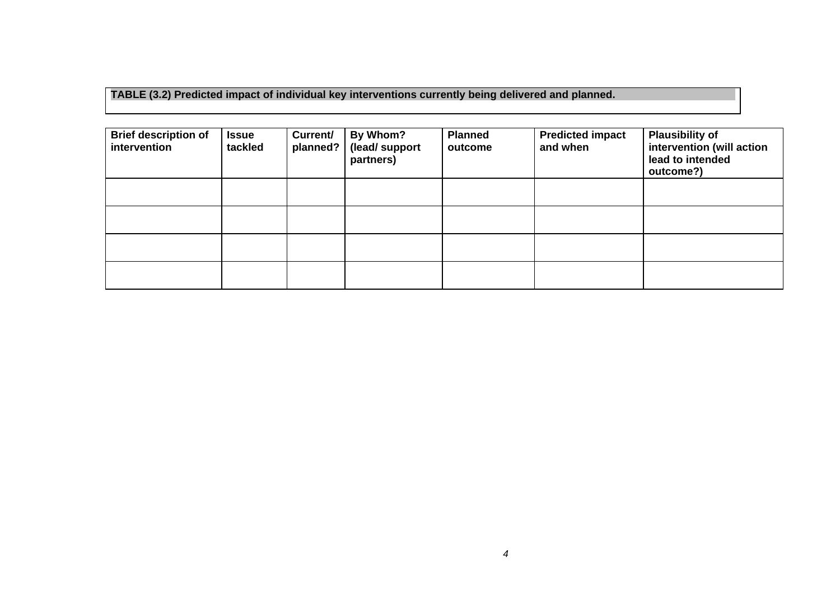**TABLE (3.2) Predicted impact of individual key interventions currently being delivered and planned.** 

| <b>Brief description of</b><br>intervention | <b>Issue</b><br>tackled | Current/<br>planned? | By Whom?<br>(lead/support<br>partners) | <b>Planned</b><br>outcome | <b>Predicted impact</b><br>and when | <b>Plausibility of</b><br>intervention (will action<br>lead to intended<br>outcome?) |
|---------------------------------------------|-------------------------|----------------------|----------------------------------------|---------------------------|-------------------------------------|--------------------------------------------------------------------------------------|
|                                             |                         |                      |                                        |                           |                                     |                                                                                      |
|                                             |                         |                      |                                        |                           |                                     |                                                                                      |
|                                             |                         |                      |                                        |                           |                                     |                                                                                      |
|                                             |                         |                      |                                        |                           |                                     |                                                                                      |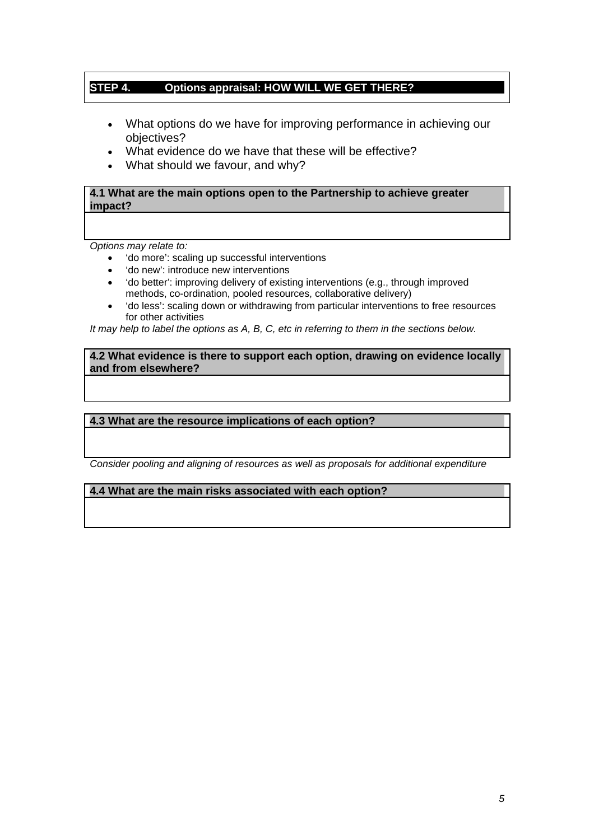### **STEP 4. Options appraisal: HOW WILL WE GET THERE?**

- What options do we have for improving performance in achieving our objectives?
- What evidence do we have that these will be effective?
- What should we favour, and why?

 **4.1 What are the main options open to the Partnership to achieve greater impact?** 

*Options may relate to:* 

- 'do more': scaling up successful interventions
- 'do new': introduce new interventions
- 'do better': improving delivery of existing interventions (e.g., through improved methods, co-ordination, pooled resources, collaborative delivery)
- 'do less': scaling down or withdrawing from particular interventions to free resources for other activities

*It may help to label the options as A, B, C, etc in referring to them in the sections below.* 

**4.2 What evidence is there to support each option, drawing on evidence locally and from elsewhere?** 

## **4.3 What are the resource implications of each option?**

*Consider pooling and aligning of resources as well as proposals for additional expenditure* 

 **4.4 What are the main risks associated with each option?**